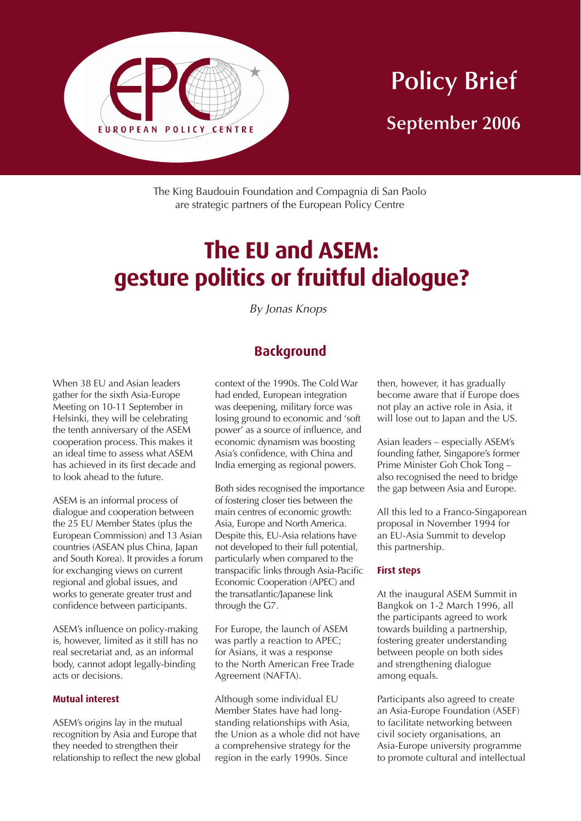

# **Policy Brief September 2006**

The King Baudouin Foundation and Compagnia di San Paolo are strategic partners of the European Policy Centre

# **The EU and ASEM: gesture politics or fruitful dialogue?**

By Jonas Knops

## **Background**

When 38 EU and Asian leaders gather for the sixth Asia-Europe Meeting on 10-11 September in Helsinki, they will be celebrating the tenth anniversary of the ASEM cooperation process. This makes it an ideal time to assess what ASEM has achieved in its first decade and to look ahead to the future.

ASEM is an informal process of dialogue and cooperation between the 25 EU Member States (plus the European Commission) and 13 Asian countries (ASEAN plus China, Japan and South Korea). It provides a forum for exchanging views on current regional and global issues, and works to generate greater trust and confidence between participants.

ASEM's influence on policy-making is, however, limited as it still has no real secretariat and, as an informal body, cannot adopt legally-binding acts or decisions.

#### **Mutual interest**

ASEM's origins lay in the mutual recognition by Asia and Europe that they needed to strengthen their relationship to reflect the new global context of the 1990s. The Cold War had ended, European integration was deepening, military force was losing ground to economic and 'soft power' as a source of influence, and economic dynamism was boosting Asia's confidence, with China and India emerging as regional powers.

Both sides recognised the importance of fostering closer ties between the main centres of economic growth: Asia, Europe and North America. Despite this, EU-Asia relations have not developed to their full potential, particularly when compared to the transpacific links through Asia-Pacific Economic Cooperation (APEC) and the transatlantic/Japanese link through the G7.

For Europe, the launch of ASEM was partly a reaction to APEC; for Asians, it was a response to the North American Free Trade Agreement (NAFTA).

Although some individual EU Member States have had longstanding relationships with Asia, the Union as a whole did not have a comprehensive strategy for the region in the early 1990s. Since

then, however, it has gradually become aware that if Europe does not play an active role in Asia, it will lose out to Japan and the US.

Asian leaders – especially ASEM's founding father, Singapore's former Prime Minister Goh Chok Tong – also recognised the need to bridge the gap between Asia and Europe.

All this led to a Franco-Singaporean proposal in November 1994 for an EU-Asia Summit to develop this partnership.

#### **First steps**

At the inaugural ASEM Summit in Bangkok on 1-2 March 1996, all the participants agreed to work towards building a partnership, fostering greater understanding between people on both sides and strengthening dialogue among equals.

Participants also agreed to create an Asia-Europe Foundation (ASEF) to facilitate networking between civil society organisations, an Asia-Europe university programme to promote cultural and intellectual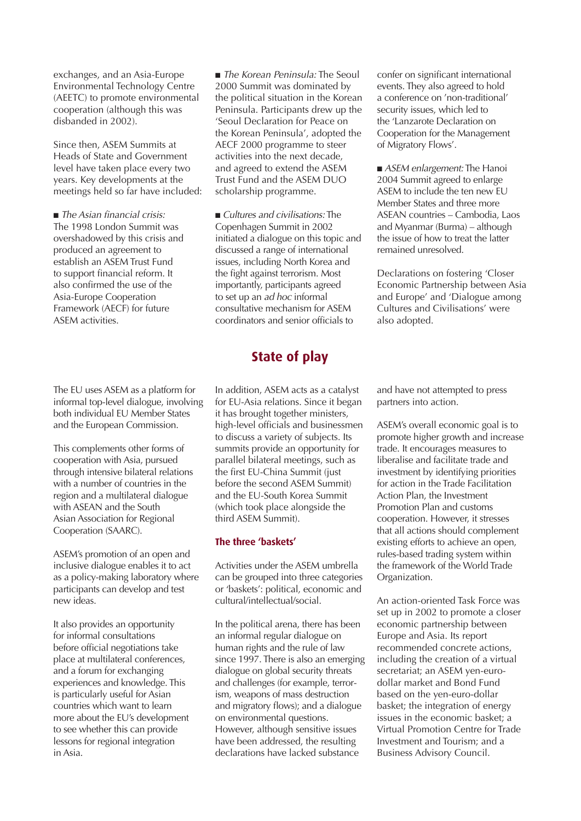exchanges, and an Asia-Europe Environmental Technology Centre (AEETC) to promote environmental cooperation (although this was disbanded in 2002).

Since then, ASEM Summits at Heads of State and Government level have taken place every two years. Key developments at the meetings held so far have included:

■ The Asian financial crisis: The 1998 London Summit was overshadowed by this crisis and produced an agreement to establish an ASEM Trust Fund to support financial reform. It also confirmed the use of the Asia-Europe Cooperation Framework (AECF) for future ASEM activities.

The EU uses ASEM as a platform for informal top-level dialogue, involving both individual EU Member States and the European Commission.

This complements other forms of cooperation with Asia, pursued through intensive bilateral relations with a number of countries in the region and a multilateral dialogue with ASEAN and the South Asian Association for Regional Cooperation (SAARC).

ASEM's promotion of an open and inclusive dialogue enables it to act as a policy-making laboratory where participants can develop and test new ideas.

It also provides an opportunity for informal consultations before official negotiations take place at multilateral conferences, and a forum for exchanging experiences and knowledge. This is particularly useful for Asian countries which want to learn more about the EU's development to see whether this can provide lessons for regional integration in Asia.

■ The Korean Peninsula: The Seoul 2000 Summit was dominated by the political situation in the Korean Peninsula. Participants drew up the 'Seoul Declaration for Peace on the Korean Peninsula', adopted the AECF 2000 programme to steer activities into the next decade, and agreed to extend the ASEM Trust Fund and the ASEM DUO scholarship programme.

■ Cultures and civilisations: The Copenhagen Summit in 2002 initiated a dialogue on this topic and discussed a range of international issues, including North Korea and the fight against terrorism. Most importantly, participants agreed to set up an ad hoc informal consultative mechanism for ASEM coordinators and senior officials to

### **State of play**

In addition, ASEM acts as a catalyst for EU-Asia relations. Since it began it has brought together ministers, high-level officials and businessmen to discuss a variety of subjects. Its summits provide an opportunity for parallel bilateral meetings, such as the first EU-China Summit (just before the second ASEM Summit) and the EU-South Korea Summit (which took place alongside the third ASEM Summit).

#### **The three 'baskets'**

Activities under the ASEM umbrella can be grouped into three categories or 'baskets': political, economic and cultural/intellectual/social.

In the political arena, there has been an informal regular dialogue on human rights and the rule of law since 1997. There is also an emerging dialogue on global security threats and challenges (for example, terrorism, weapons of mass destruction and migratory flows); and a dialogue on environmental questions. However, although sensitive issues have been addressed, the resulting declarations have lacked substance

confer on significant international events. They also agreed to hold a conference on 'non-traditional' security issues, which led to the 'Lanzarote Declaration on Cooperation for the Management of Migratory Flows'.

■ *ASEM enlargement:* The Hanoi 2004 Summit agreed to enlarge ASEM to include the ten new EU Member States and three more ASEAN countries – Cambodia, Laos and Myanmar (Burma) – although the issue of how to treat the latter remained unresolved.

Declarations on fostering 'Closer Economic Partnership between Asia and Europe' and 'Dialogue among Cultures and Civilisations' were also adopted.

and have not attempted to press partners into action.

ASEM's overall economic goal is to promote higher growth and increase trade. It encourages measures to liberalise and facilitate trade and investment by identifying priorities for action in the Trade Facilitation Action Plan, the Investment Promotion Plan and customs cooperation. However, it stresses that all actions should complement existing efforts to achieve an open, rules-based trading system within the framework of the World Trade Organization.

An action-oriented Task Force was set up in 2002 to promote a closer economic partnership between Europe and Asia. Its report recommended concrete actions, including the creation of a virtual secretariat; an ASEM yen-eurodollar market and Bond Fund based on the yen-euro-dollar basket; the integration of energy issues in the economic basket; a Virtual Promotion Centre for Trade Investment and Tourism; and a Business Advisory Council.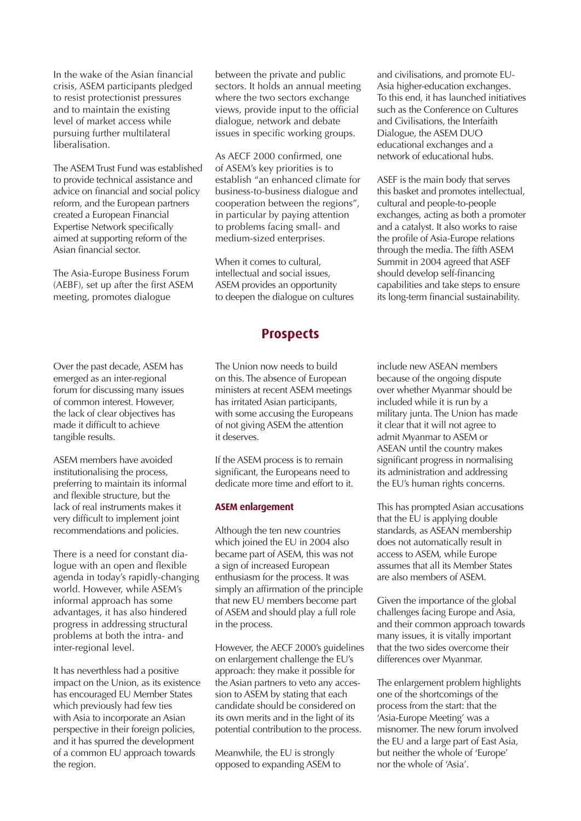In the wake of the Asian financial crisis, ASEM participants pledged to resist protectionist pressures and to maintain the existing level of market access while pursuing further multilateral liberalisation.

The ASEM Trust Fund was established to provide technical assistance and advice on financial and social policy reform, and the European partners created a European Financial Expertise Network specifically aimed at supporting reform of the Asian financial sector.

The Asia-Europe Business Forum (AEBF), set up after the first ASEM meeting, promotes dialogue

between the private and public sectors. It holds an annual meeting where the two sectors exchange views, provide input to the official dialogue, network and debate issues in specific working groups.

As AECF 2000 confirmed, one of ASEM's key priorities is to establish "an enhanced climate for business-to-business dialogue and cooperation between the regions", in particular by paying attention to problems facing small- and medium-sized enterprises.

When it comes to cultural, intellectual and social issues, ASEM provides an opportunity to deepen the dialogue on cultures

#### **Prospects**

Over the past decade, ASEM has emerged as an inter-regional forum for discussing many issues of common interest. However, the lack of clear objectives has made it difficult to achieve tangible results.

ASEM members have avoided institutionalising the process, preferring to maintain its informal and flexible structure, but the lack of real instruments makes it very difficult to implement joint recommendations and policies.

There is a need for constant dialogue with an open and flexible agenda in today's rapidly-changing world. However, while ASEM's informal approach has some advantages, it has also hindered progress in addressing structural problems at both the intra- and inter-regional level.

It has neverthless had a positive impact on the Union, as its existence has encouraged EU Member States which previously had few ties with Asia to incorporate an Asian perspective in their foreign policies, and it has spurred the development of a common EU approach towards the region.

The Union now needs to build on this. The absence of European ministers at recent ASEM meetings has irritated Asian participants, with some accusing the Europeans of not giving ASEM the attention it deserves.

If the ASEM process is to remain significant, the Europeans need to dedicate more time and effort to it.

#### **ASEM enlargement**

Although the ten new countries which joined the EU in 2004 also became part of ASEM, this was not a sign of increased European enthusiasm for the process. It was simply an affirmation of the principle that new EU members become part of ASEM and should play a full role in the process.

However, the AECF 2000's guidelines on enlargement challenge the EU's approach: they make it possible for the Asian partners to veto any accession to ASEM by stating that each candidate should be considered on its own merits and in the light of its potential contribution to the process.

Meanwhile, the EU is strongly opposed to expanding ASEM to

and civilisations, and promote EU-Asia higher-education exchanges. To this end, it has launched initiatives such as the Conference on Cultures and Civilisations, the Interfaith Dialogue, the ASEM DUO educational exchanges and a network of educational hubs.

ASEF is the main body that serves this basket and promotes intellectual, cultural and people-to-people exchanges, acting as both a promoter and a catalyst. It also works to raise the profile of Asia-Europe relations through the media. The fifth ASEM Summit in 2004 agreed that ASEF should develop self-financing capabilities and take steps to ensure its long-term financial sustainability.

include new ASEAN members because of the ongoing dispute over whether Myanmar should be included while it is run by a military junta. The Union has made it clear that it will not agree to admit Myanmar to ASEM or ASEAN until the country makes significant progress in normalising its administration and addressing the EU's human rights concerns.

This has prompted Asian accusations that the EU is applying double standards, as ASEAN membership does not automatically result in access to ASEM, while Europe assumes that all its Member States are also members of ASEM.

Given the importance of the global challenges facing Europe and Asia, and their common approach towards many issues, it is vitally important that the two sides overcome their differences over Myanmar.

The enlargement problem highlights one of the shortcomings of the process from the start: that the 'Asia-Europe Meeting' was a misnomer. The new forum involved the EU and a large part of East Asia, but neither the whole of 'Europe' nor the whole of 'Asia'.